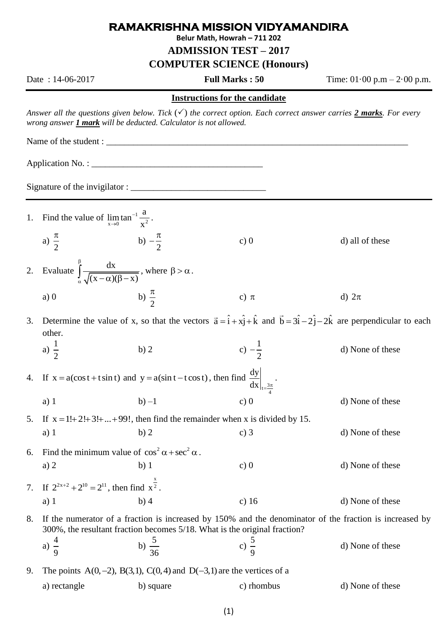## **RAMAKRISHNA MISSION VIDYAMANDIRA**

**Belur Math, Howrah – 711 202**

**ADMISSION TEST – 2017**

**COMPUTER SCIENCE (Honours)**

Date : 14-06-2017 **Full Marks : 50** Time: 01.00 p.m – 2.00 p.m.

## **Instructions for the candidate**

*Answer all the questions given below. Tick*  $(\checkmark)$  *the correct option. Each correct answer carries 2 marks. For every wrong answer 1 mark will be deducted. Calculator is not allowed.* 

Name of the student : \_\_\_\_\_\_\_\_\_\_\_\_\_\_\_\_\_\_\_\_\_\_\_\_\_\_\_\_\_\_\_\_\_\_\_\_\_\_\_\_\_\_\_\_\_\_\_\_\_\_\_\_\_\_\_\_\_\_\_\_\_\_\_\_\_\_\_

Application No. :

 $Signature of the invigilator:$ 

1. Find the value of  $\lim \tan^{-1}$  $x \rightarrow 0$   $x^2$  $\lim \tan^{-1} \frac{a}{a}$ x  $\overline{a}$  $\lim_{x\to 0} \tan^{-1} \frac{a}{x^2}$ . a) 2  $\pi$ b) 2  $\pi$ c)  $0$  d) all of these 2. Evaluate  $\int_{0}^{\beta} \frac{dx}{\sqrt{2\pi}}$  $\overline{(x-\alpha)(\beta-x)}$ β  $\int_{\alpha} \frac{dx}{\sqrt{(x-\alpha)(\beta-x)}}$ , where  $\beta > \alpha$ . a)  $\theta$ 2  $\pi$ c)  $\pi$ d)  $2\pi$ 3. Determine the value of x, so that the vectors  $\vec{a} = \hat{i} + x\hat{j} + \hat{k}$  and  $\vec{b} = 3\hat{i} - 2\hat{j} - 2\hat{k}$  are perpendicular to each other. a)  $\frac{1}{2}$ 2  $b) 2$ 1 2 d) None of these 4. If  $x = a(\cos t + t \sin t)$  and  $y = a(\sin t - t \cos t)$ , then find  $\frac{dy}{dx}\Big|_{t=\frac{3t}{4}}$ dy  $dx|_{t=\frac{3\pi}{2}}$ . a) 1 b) –1 c) 0 d) None of these 5. If  $x = 1!+2!+3!+...+99!$ , then find the remainder when x is divided by 15. a) 1 b) 2 c) 3 d) None of these 6. Find the minimum value of  $\cos^2 \alpha + \sec^2 \alpha$ . a) 2 b) 1 c) 0 d) None of these 7. If  $2^{2x+2} + 2^{10} = 2^{11}$ , then find x  $x^2$ . a) 1 b) 4 c) 16 d) None of these 8. If the numerator of a fraction is increased by 150% and the denominator of the fraction is increased by 300%, the resultant fraction becomes 5/18. What is the original fraction? a)  $\frac{4}{5}$ 9 b)  $\frac{5}{2}$ 36 c)  $\frac{5}{9}$ 9 d) None of these 9. The points  $A(0, -2)$ ,  $B(3, 1)$ ,  $C(0, 4)$  and  $D(-3, 1)$  are the vertices of a a) rectangle b) square c) rhombus d) None of these